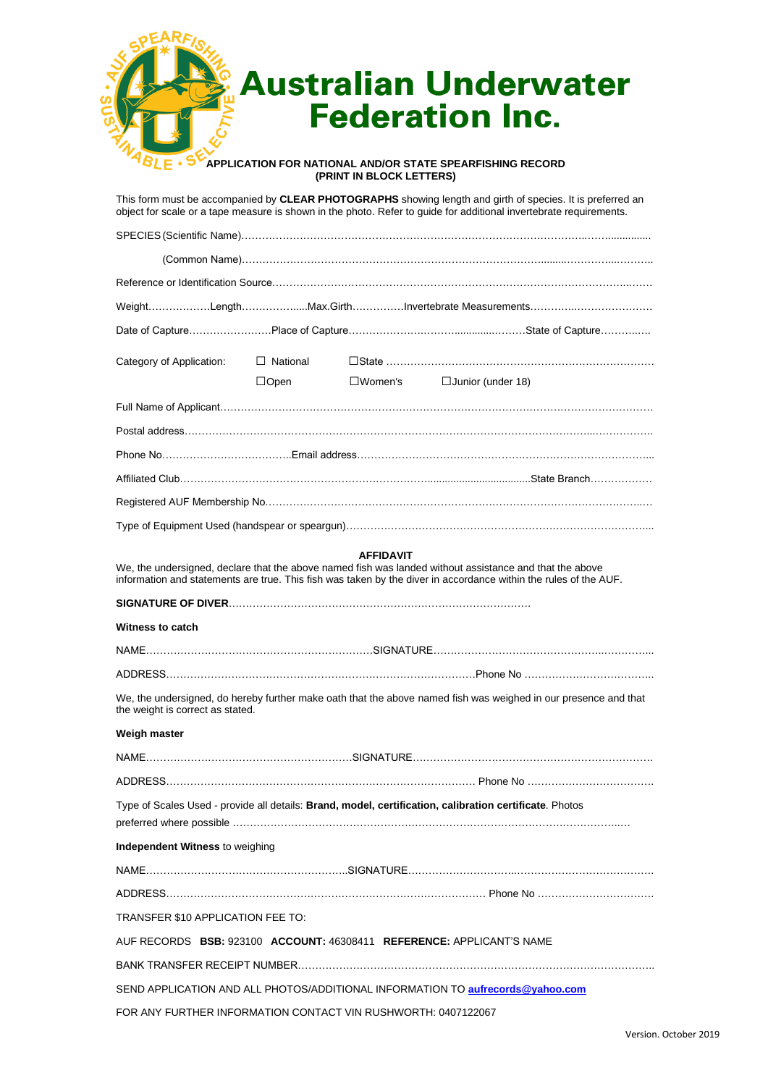|                          |                 |                          | <b>Australian Underwater</b>                                                                                                                                                                                                     |
|--------------------------|-----------------|--------------------------|----------------------------------------------------------------------------------------------------------------------------------------------------------------------------------------------------------------------------------|
|                          |                 |                          | <b>Federation Inc.</b>                                                                                                                                                                                                           |
|                          |                 |                          |                                                                                                                                                                                                                                  |
|                          |                 |                          | APPLICATION FOR NATIONAL AND/OR STATE SPEARFISHING RECORD                                                                                                                                                                        |
|                          |                 | (PRINT IN BLOCK LETTERS) |                                                                                                                                                                                                                                  |
|                          |                 |                          | This form must be accompanied by CLEAR PHOTOGRAPHS showing length and girth of species. It is preferred an<br>object for scale or a tape measure is shown in the photo. Refer to guide for additional invertebrate requirements. |
|                          |                 |                          |                                                                                                                                                                                                                                  |
|                          |                 |                          |                                                                                                                                                                                                                                  |
|                          |                 |                          |                                                                                                                                                                                                                                  |
|                          |                 |                          | WeightLengthMax.GirthInvertebrate Measurements                                                                                                                                                                                   |
|                          |                 |                          |                                                                                                                                                                                                                                  |
| Category of Application: | $\Box$ National |                          |                                                                                                                                                                                                                                  |
|                          | $\Box$ Open     | $\square$ Women's        | $\Box$ Junior (under 18)                                                                                                                                                                                                         |
|                          |                 |                          |                                                                                                                                                                                                                                  |
|                          |                 |                          |                                                                                                                                                                                                                                  |
|                          |                 |                          |                                                                                                                                                                                                                                  |
|                          |                 |                          |                                                                                                                                                                                                                                  |
|                          |                 |                          |                                                                                                                                                                                                                                  |
|                          |                 |                          |                                                                                                                                                                                                                                  |
|                          |                 | <b>AFFIDAVIT</b>         |                                                                                                                                                                                                                                  |
|                          |                 |                          | We, the undersigned, declare that the above named fish was landed without assistance and that the above<br>information and statements are true. This fish was taken by the diver in accordance within the rules of the AUF.      |
|                          |                 |                          |                                                                                                                                                                                                                                  |
| Witness to catch         |                 |                          |                                                                                                                                                                                                                                  |
|                          |                 |                          |                                                                                                                                                                                                                                  |
|                          |                 |                          |                                                                                                                                                                                                                                  |

We, the undersigned, do hereby further make oath that the above named fish was weighed in our presence and that the weight is correct as stated.

#### **Weigh master**

| Type of Scales Used - provide all details: Brand, model, certification, calibration certificate. Photos |  |  |  |  |  |  |  |
|---------------------------------------------------------------------------------------------------------|--|--|--|--|--|--|--|
| Independent Witness to weighing                                                                         |  |  |  |  |  |  |  |
|                                                                                                         |  |  |  |  |  |  |  |
|                                                                                                         |  |  |  |  |  |  |  |
| <b>TRANSFER \$10 APPLICATION FEE TO:</b>                                                                |  |  |  |  |  |  |  |
| AUF RECORDS BSB: 923100 ACCOUNT: 46308411 REFERENCE: APPLICANT'S NAME                                   |  |  |  |  |  |  |  |
|                                                                                                         |  |  |  |  |  |  |  |
| SEND APPLICATION AND ALL PHOTOS/ADDITIONAL INFORMATION TO aufrecords@yahoo.com                          |  |  |  |  |  |  |  |
| FOR ANY FURTHER INFORMATION CONTACT VIN RUSHWORTH: 0407122067                                           |  |  |  |  |  |  |  |